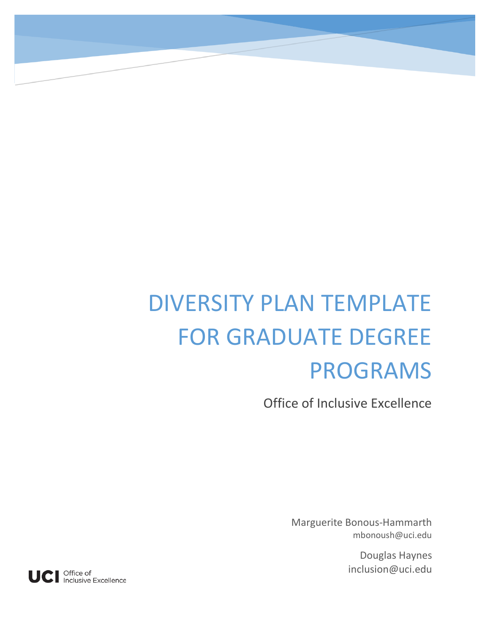# DIVERSITY PLAN TEMPLATE FOR GRADUATE DEGREE PROGRAMS

Office of Inclusive Excellence

Marguerite Bonous-Hammarth mbonoush@uci.edu

> Douglas Haynes inclusion@uci.edu

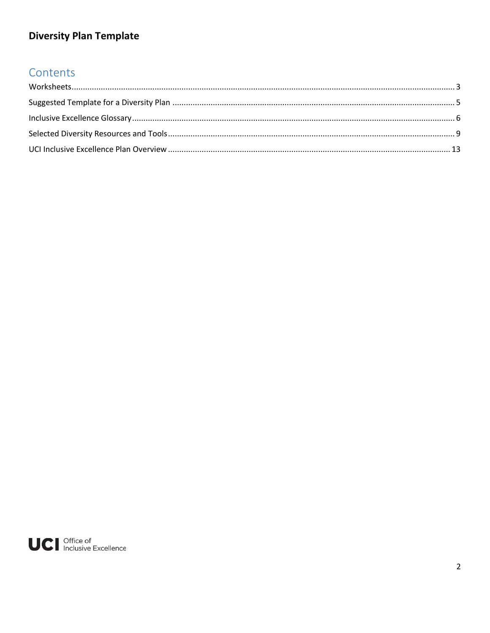## Contents

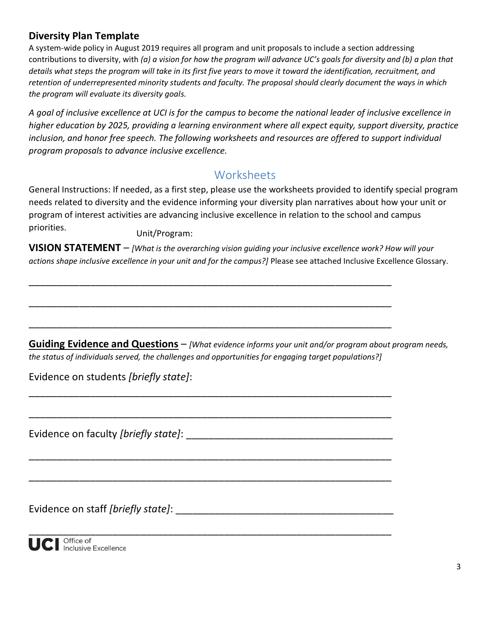A system-wide policy in August 2019 requires all program and unit proposals to include a section addressing contributions to diversity, with *(a) a vision for how the program will advance UC's goals for diversity and (b) a plan that details what steps the program will take in its first five years to move it toward the identification, recruitment, and retention of underrepresented minority students and faculty. The proposal should clearly document the ways in which the program will evaluate its diversity goals.*

*A goal of inclusive excellence at UCI is for the campus to become the national leader of inclusive excellence in higher education by 2025, providing a learning environment where all expect equity, support diversity, practice inclusion, and honor free speech. The following worksheets and resources are offered to support individual program proposals to advance inclusive excellence.*

#### **Worksheets**

<span id="page-2-0"></span>General Instructions: If needed, as a first step, please use the worksheets provided to identify special program needs related to diversity and the evidence informing your diversity plan narratives about how your unit or program of interest activities are advancing inclusive excellence in relation to the school and campus priorities.

Unit/Program:

**VISION STATEMENT** – *[What is the overarching vision guiding your inclusive excellence work? How will your actions shape inclusive excellence in your unit and for the campus?]* Please see attached Inclusive Excellence Glossary.

\_\_\_\_\_\_\_\_\_\_\_\_\_\_\_\_\_\_\_\_\_\_\_\_\_\_\_\_\_\_\_\_\_\_\_\_\_\_\_\_\_\_\_\_\_\_\_\_\_\_\_\_\_\_\_\_\_\_\_\_\_\_\_\_\_

\_\_\_\_\_\_\_\_\_\_\_\_\_\_\_\_\_\_\_\_\_\_\_\_\_\_\_\_\_\_\_\_\_\_\_\_\_\_\_\_\_\_\_\_\_\_\_\_\_\_\_\_\_\_\_\_\_\_\_\_\_\_\_\_\_

\_\_\_\_\_\_\_\_\_\_\_\_\_\_\_\_\_\_\_\_\_\_\_\_\_\_\_\_\_\_\_\_\_\_\_\_\_\_\_\_\_\_\_\_\_\_\_\_\_\_\_\_\_\_\_\_\_\_\_\_\_\_\_\_\_

\_\_\_\_\_\_\_\_\_\_\_\_\_\_\_\_\_\_\_\_\_\_\_\_\_\_\_\_\_\_\_\_\_\_\_\_\_\_\_\_\_\_\_\_\_\_\_\_\_\_\_\_\_\_\_\_\_\_\_\_\_\_\_\_\_

\_\_\_\_\_\_\_\_\_\_\_\_\_\_\_\_\_\_\_\_\_\_\_\_\_\_\_\_\_\_\_\_\_\_\_\_\_\_\_\_\_\_\_\_\_\_\_\_\_\_\_\_\_\_\_\_\_\_\_\_\_\_\_\_\_

\_\_\_\_\_\_\_\_\_\_\_\_\_\_\_\_\_\_\_\_\_\_\_\_\_\_\_\_\_\_\_\_\_\_\_\_\_\_\_\_\_\_\_\_\_\_\_\_\_\_\_\_\_\_\_\_\_\_\_\_\_\_\_\_\_

\_\_\_\_\_\_\_\_\_\_\_\_\_\_\_\_\_\_\_\_\_\_\_\_\_\_\_\_\_\_\_\_\_\_\_\_\_\_\_\_\_\_\_\_\_\_\_\_\_\_\_\_\_\_\_\_\_\_\_\_\_\_\_\_\_

\_\_\_\_\_\_\_\_\_\_\_\_\_\_\_\_\_\_\_\_\_\_\_\_\_\_\_\_\_\_\_\_\_\_\_\_\_\_\_\_\_\_\_\_\_\_\_\_\_\_\_\_\_\_\_\_\_\_\_\_\_\_\_\_\_

**Guiding Evidence and Questions** – *[What evidence informs your unit and/or program about program needs, the status of individuals served, the challenges and opportunities for engaging target populations?]*

Evidence on students *[briefly state]*:

Evidence on faculty *[briefly state]*: **Eximine and the contract of the contract of the contract of the contract of the contract of the contract of the contract of the contract of the contract of the contract of the contra** 

Evidence on staff *[briefly state]*: \_\_\_\_\_\_\_\_\_\_\_\_\_\_\_\_\_\_\_\_\_\_\_\_\_\_\_\_\_\_\_\_\_\_\_\_\_\_\_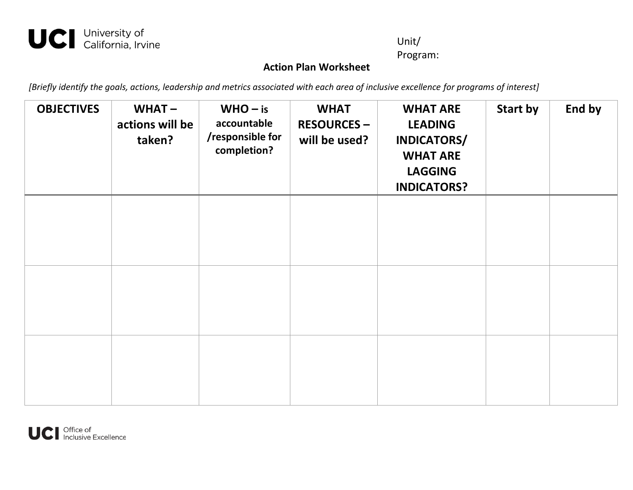## UCI University of<br>California, Irvine

#### Unit/

Program:

#### **Action Plan Worksheet**

*[Briefly identify the goals, actions, leadership and metrics associated with each area of inclusive excellence for programs of interest]*

| <b>OBJECTIVES</b> | $WHAT -$<br>actions will be<br>taken? | $WHO - is$<br>accountable<br>/responsible for<br>completion? | <b>WHAT</b><br><b>RESOURCES -</b><br>will be used? | <b>WHAT ARE</b><br><b>LEADING</b><br>INDICATORS/<br><b>WHAT ARE</b><br><b>LAGGING</b><br><b>INDICATORS?</b> | <b>Start by</b> | End by |
|-------------------|---------------------------------------|--------------------------------------------------------------|----------------------------------------------------|-------------------------------------------------------------------------------------------------------------|-----------------|--------|
|                   |                                       |                                                              |                                                    |                                                                                                             |                 |        |
|                   |                                       |                                                              |                                                    |                                                                                                             |                 |        |
|                   |                                       |                                                              |                                                    |                                                                                                             |                 |        |

<span id="page-3-0"></span>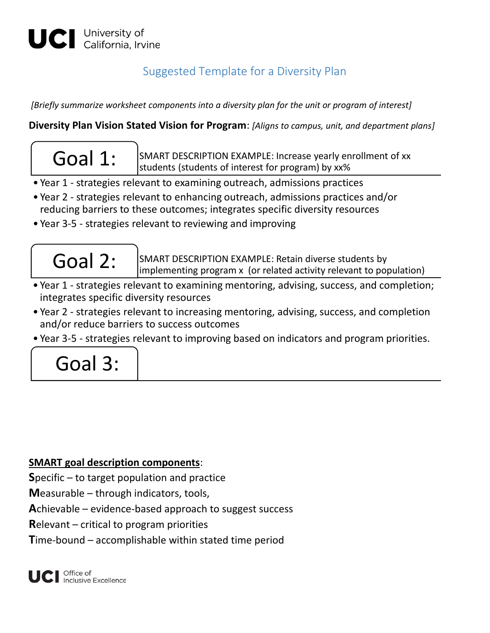## Suggested Template for a Diversity Plan

*[Briefly summarize worksheet components into a diversity plan for the unit or program of interest]*

**Diversity Plan Vision Stated Vision for Program**: *[Aligns to campus, unit, and department plans]*

 $\text{Goal 1:}$  SMART DESCRIPTION EXAMPLE: Increase yearly enrollment of xx students (students of interest for program) by xx%

- Year 1 strategies relevant to examining outreach, admissions practices
- Year 2 strategies relevant to enhancing outreach, admissions practices and/or reducing barriers to these outcomes; integrates specific diversity resources
- Year 3-5 strategies relevant to reviewing and improving



 $\text{Goal 2: }$  SMART DESCRIPTION EXAMPLE: Retain diverse students by implementing program x (or related activity relevant to population)

- Year 1 strategies relevant to examining mentoring, advising, success, and completion; integrates specific diversity resources
- Year 2 strategies relevant to increasing mentoring, advising, success, and completion and/or reduce barriers to success outcomes
- Year 3-5 strategies relevant to improving based on indicators and program priorities.



#### **SMART goal description components**:

**S**pecific – to target population and practice

**M**easurable – through indicators, tools,

**A**chievable – evidence-based approach to suggest success

**R**elevant – critical to program priorities

**T**ime-bound – accomplishable within stated time period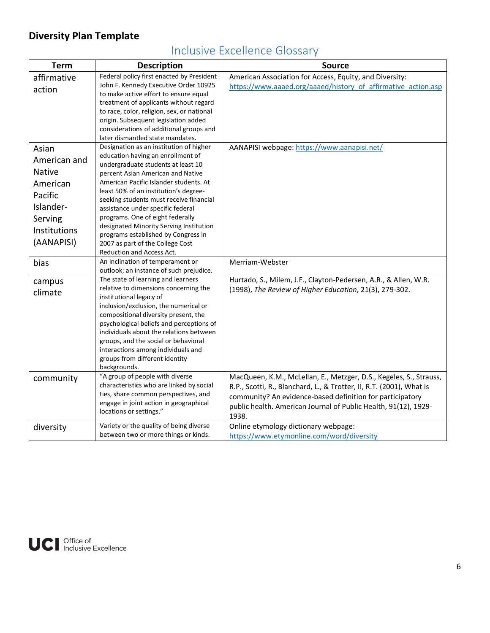| <b>Term</b>   | <b>Description</b>                                                               | <b>Source</b>                                                        |
|---------------|----------------------------------------------------------------------------------|----------------------------------------------------------------------|
| affirmative   | Federal policy first enacted by President                                        | American Association for Access, Equity, and Diversity:              |
| action        | John F. Kennedy Executive Order 10925                                            | https://www.aaaed.org/aaaed/history of affirmative action.asp        |
|               | to make active effort to ensure equal<br>treatment of applicants without regard  |                                                                      |
|               | to race, color, religion, sex, or national                                       |                                                                      |
|               | origin. Subsequent legislation added                                             |                                                                      |
|               | considerations of additional groups and                                          |                                                                      |
|               | later dismantled state mandates.                                                 |                                                                      |
| Asian         | Designation as an institution of higher                                          | AANAPISI webpage: https://www.aanapisi.net/                          |
| American and  | education having an enrollment of                                                |                                                                      |
| <b>Native</b> | undergraduate students at least 10                                               |                                                                      |
|               | percent Asian American and Native<br>American Pacific Islander students. At      |                                                                      |
| American      | least 50% of an institution's degree-                                            |                                                                      |
| Pacific       | seeking students must receive financial                                          |                                                                      |
| Islander-     | assistance under specific federal                                                |                                                                      |
| Serving       | programs. One of eight federally                                                 |                                                                      |
| Institutions  | designated Minority Serving Institution                                          |                                                                      |
| (AANAPISI)    | programs established by Congress in                                              |                                                                      |
|               | 2007 as part of the College Cost<br>Reduction and Access Act.                    |                                                                      |
| bias          | An inclination of temperament or                                                 | Merriam-Webster                                                      |
|               | outlook; an instance of such prejudice.                                          |                                                                      |
| campus        | The state of learning and learners                                               | Hurtado, S., Milem, J.F., Clayton-Pedersen, A.R., & Allen, W.R.      |
| climate       | relative to dimensions concerning the                                            | (1998), The Review of Higher Education, 21(3), 279-302.              |
|               | institutional legacy of                                                          |                                                                      |
|               | inclusion/exclusion, the numerical or                                            |                                                                      |
|               | compositional diversity present, the<br>psychological beliefs and perceptions of |                                                                      |
|               | individuals about the relations between                                          |                                                                      |
|               | groups, and the social or behavioral                                             |                                                                      |
|               | interactions among individuals and                                               |                                                                      |
|               | groups from different identity                                                   |                                                                      |
|               | backgrounds.                                                                     |                                                                      |
| community     | "A group of people with diverse                                                  | MacQueen, K.M., McLellan, E., Metzger, D.S., Kegeles, S., Strauss,   |
|               | characteristics who are linked by social                                         | R.P., Scotti, R., Blanchard, L., & Trotter, II, R.T. (2001), What is |
|               | ties, share common perspectives, and<br>engage in joint action in geographical   | community? An evidence-based definition for participatory            |
|               | locations or settings."                                                          | public health. American Journal of Public Health, 91(12), 1929-      |
|               |                                                                                  | 1938.                                                                |
| diversity     | Variety or the quality of being diverse                                          | Online etymology dictionary webpage:                                 |
|               | between two or more things or kinds.                                             | https://www.etymonline.com/word/diversity                            |

## Inclusive Excellence Glossary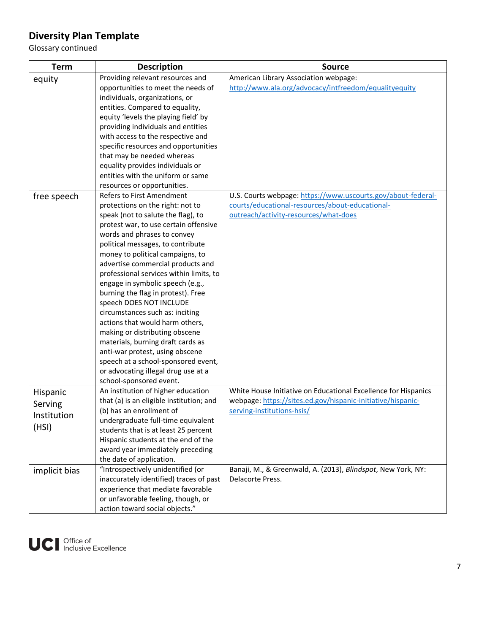Glossary continued

| <b>Term</b>   | <b>Description</b>                                                    | <b>Source</b>                                                                             |
|---------------|-----------------------------------------------------------------------|-------------------------------------------------------------------------------------------|
| equity        | Providing relevant resources and                                      | American Library Association webpage:                                                     |
|               | opportunities to meet the needs of                                    | http://www.ala.org/advocacy/intfreedom/equalityequity                                     |
|               | individuals, organizations, or                                        |                                                                                           |
|               | entities. Compared to equality,                                       |                                                                                           |
|               | equity 'levels the playing field' by                                  |                                                                                           |
|               | providing individuals and entities                                    |                                                                                           |
|               | with access to the respective and                                     |                                                                                           |
|               | specific resources and opportunities                                  |                                                                                           |
|               | that may be needed whereas                                            |                                                                                           |
|               | equality provides individuals or<br>entities with the uniform or same |                                                                                           |
|               |                                                                       |                                                                                           |
|               | resources or opportunities.<br>Refers to First Amendment              | U.S. Courts webpage: https://www.uscourts.gov/about-federal-                              |
| free speech   | protections on the right: not to                                      | courts/educational-resources/about-educational-                                           |
|               | speak (not to salute the flag), to                                    | outreach/activity-resources/what-does                                                     |
|               | protest war, to use certain offensive                                 |                                                                                           |
|               | words and phrases to convey                                           |                                                                                           |
|               | political messages, to contribute                                     |                                                                                           |
|               | money to political campaigns, to                                      |                                                                                           |
|               | advertise commercial products and                                     |                                                                                           |
|               | professional services within limits, to                               |                                                                                           |
|               | engage in symbolic speech (e.g.,                                      |                                                                                           |
|               | burning the flag in protest). Free                                    |                                                                                           |
|               | speech DOES NOT INCLUDE                                               |                                                                                           |
|               | circumstances such as: inciting                                       |                                                                                           |
|               | actions that would harm others,                                       |                                                                                           |
|               | making or distributing obscene                                        |                                                                                           |
|               | materials, burning draft cards as                                     |                                                                                           |
|               | anti-war protest, using obscene                                       |                                                                                           |
|               | speech at a school-sponsored event,                                   |                                                                                           |
|               | or advocating illegal drug use at a                                   |                                                                                           |
|               | school-sponsored event.                                               |                                                                                           |
| Hispanic      | An institution of higher education                                    | White House Initiative on Educational Excellence for Hispanics                            |
| Serving       | that (a) is an eligible institution; and                              | webpage: https://sites.ed.gov/hispanic-initiative/hispanic-<br>serving-institutions-hsis/ |
| Institution   | (b) has an enrollment of<br>undergraduate full-time equivalent        |                                                                                           |
| (HSI)         | students that is at least 25 percent                                  |                                                                                           |
|               | Hispanic students at the end of the                                   |                                                                                           |
|               | award year immediately preceding                                      |                                                                                           |
|               | the date of application.                                              |                                                                                           |
| implicit bias | "Introspectively unidentified (or                                     | Banaji, M., & Greenwald, A. (2013), Blindspot, New York, NY:                              |
|               | inaccurately identified) traces of past                               | Delacorte Press.                                                                          |
|               | experience that mediate favorable                                     |                                                                                           |
|               | or unfavorable feeling, though, or                                    |                                                                                           |
|               | action toward social objects."                                        |                                                                                           |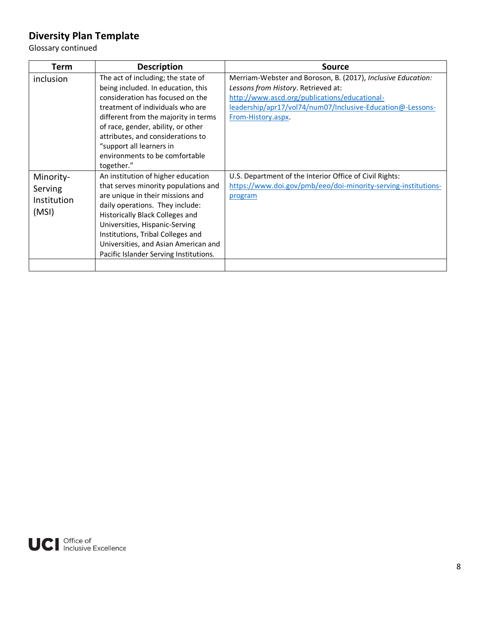Glossary continued

| Term                                                | <b>Description</b>                                                                                                                                                                                                                                                                                                                                          | <b>Source</b>                                                                                                                                                                                                                            |
|-----------------------------------------------------|-------------------------------------------------------------------------------------------------------------------------------------------------------------------------------------------------------------------------------------------------------------------------------------------------------------------------------------------------------------|------------------------------------------------------------------------------------------------------------------------------------------------------------------------------------------------------------------------------------------|
| inclusion                                           | The act of including; the state of<br>being included. In education, this<br>consideration has focused on the<br>treatment of individuals who are<br>different from the majority in terms<br>of race, gender, ability, or other<br>attributes, and considerations to<br>"support all learners in<br>environments to be comfortable                           | Merriam-Webster and Boroson, B. (2017), Inclusive Education:<br>Lessons from History. Retrieved at:<br>http://www.ascd.org/publications/educational-<br>leadership/apr17/vol74/num07/Inclusive-Education@-Lessons-<br>From-History.aspx. |
| Minority-<br>Serving<br><b>Institution</b><br>(MSI) | together."<br>An institution of higher education<br>that serves minority populations and<br>are unique in their missions and<br>daily operations. They include:<br>Historically Black Colleges and<br>Universities, Hispanic-Serving<br>Institutions, Tribal Colleges and<br>Universities, and Asian American and<br>Pacific Islander Serving Institutions. | U.S. Department of the Interior Office of Civil Rights:<br>https://www.doi.gov/pmb/eeo/doi-minority-serving-institutions-<br>program                                                                                                     |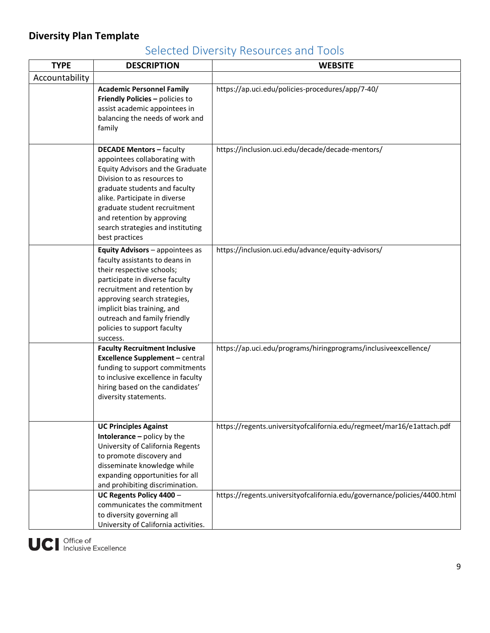## Selected Diversity Resources and Tools

| <b>TYPE</b>    | <b>DESCRIPTION</b>                                                                                                                                                                                                                                                                                                         | <b>WEBSITE</b>                                                           |
|----------------|----------------------------------------------------------------------------------------------------------------------------------------------------------------------------------------------------------------------------------------------------------------------------------------------------------------------------|--------------------------------------------------------------------------|
| Accountability |                                                                                                                                                                                                                                                                                                                            |                                                                          |
|                | <b>Academic Personnel Family</b><br>Friendly Policies - policies to<br>assist academic appointees in<br>balancing the needs of work and<br>family                                                                                                                                                                          | https://ap.uci.edu/policies-procedures/app/7-40/                         |
|                | <b>DECADE Mentors - faculty</b><br>appointees collaborating with<br>Equity Advisors and the Graduate<br>Division to as resources to<br>graduate students and faculty<br>alike. Participate in diverse<br>graduate student recruitment<br>and retention by approving<br>search strategies and instituting<br>best practices | https://inclusion.uci.edu/decade/decade-mentors/                         |
|                | Equity Advisors - appointees as<br>faculty assistants to deans in<br>their respective schools;<br>participate in diverse faculty<br>recruitment and retention by<br>approving search strategies,<br>implicit bias training, and<br>outreach and family friendly<br>policies to support faculty<br>success.                 | https://inclusion.uci.edu/advance/equity-advisors/                       |
|                | <b>Faculty Recruitment Inclusive</b><br><b>Excellence Supplement - central</b><br>funding to support commitments<br>to inclusive excellence in faculty<br>hiring based on the candidates'<br>diversity statements.                                                                                                         | https://ap.uci.edu/programs/hiringprograms/inclusiveexcellence/          |
|                | <b>UC Principles Against</b><br>Intolerance - policy by the<br>University of California Regents<br>to promote discovery and<br>disseminate knowledge while<br>expanding opportunities for all<br>and prohibiting discrimination.                                                                                           | https://regents.universityofcalifornia.edu/regmeet/mar16/e1attach.pdf    |
|                | UC Regents Policy 4400 -<br>communicates the commitment<br>to diversity governing all<br>University of California activities.                                                                                                                                                                                              | https://regents.universityofcalifornia.edu/governance/policies/4400.html |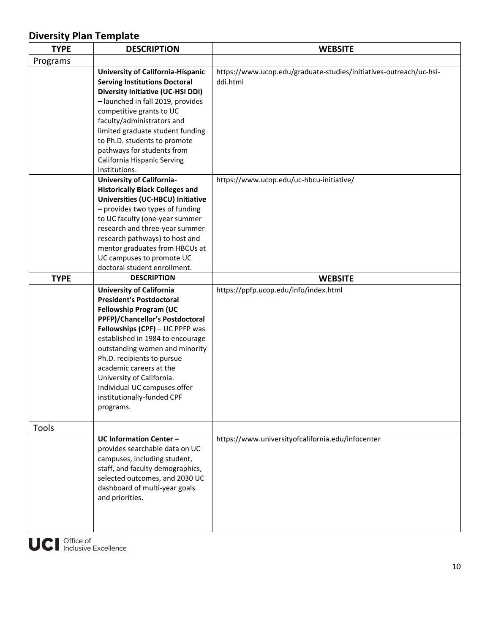| <b>TYPE</b> | <b>DESCRIPTION</b>                                                                                                                                                                                                                                                                                                                                                                                               | <b>WEBSITE</b>                                                                 |
|-------------|------------------------------------------------------------------------------------------------------------------------------------------------------------------------------------------------------------------------------------------------------------------------------------------------------------------------------------------------------------------------------------------------------------------|--------------------------------------------------------------------------------|
| Programs    |                                                                                                                                                                                                                                                                                                                                                                                                                  |                                                                                |
|             | <b>University of California-Hispanic</b><br><b>Serving Institutions Doctoral</b><br><b>Diversity Initiative (UC-HSI DDI)</b><br>- launched in fall 2019, provides<br>competitive grants to UC<br>faculty/administrators and<br>limited graduate student funding<br>to Ph.D. students to promote<br>pathways for students from<br>California Hispanic Serving<br>Institutions.                                    | https://www.ucop.edu/graduate-studies/initiatives-outreach/uc-hsi-<br>ddi.html |
|             | <b>University of California-</b><br><b>Historically Black Colleges and</b><br>Universities (UC-HBCU) Initiative<br>- provides two types of funding<br>to UC faculty (one-year summer<br>research and three-year summer<br>research pathways) to host and<br>mentor graduates from HBCUs at<br>UC campuses to promote UC<br>doctoral student enrollment.                                                          | https://www.ucop.edu/uc-hbcu-initiative/                                       |
| <b>TYPE</b> | <b>DESCRIPTION</b>                                                                                                                                                                                                                                                                                                                                                                                               | <b>WEBSITE</b>                                                                 |
|             | <b>University of California</b><br><b>President's Postdoctoral</b><br><b>Fellowship Program (UC</b><br>PPFP)/Chancellor's Postdoctoral<br>Fellowships (CPF) - UC PPFP was<br>established in 1984 to encourage<br>outstanding women and minority<br>Ph.D. recipients to pursue<br>academic careers at the<br>University of California.<br>Individual UC campuses offer<br>institutionally-funded CPF<br>programs. | https://ppfp.ucop.edu/info/index.html                                          |
| Tools       |                                                                                                                                                                                                                                                                                                                                                                                                                  |                                                                                |
|             | <b>UC Information Center -</b><br>provides searchable data on UC<br>campuses, including student,<br>staff, and faculty demographics,<br>selected outcomes, and 2030 UC<br>dashboard of multi-year goals<br>and priorities.                                                                                                                                                                                       | https://www.universityofcalifornia.edu/infocenter                              |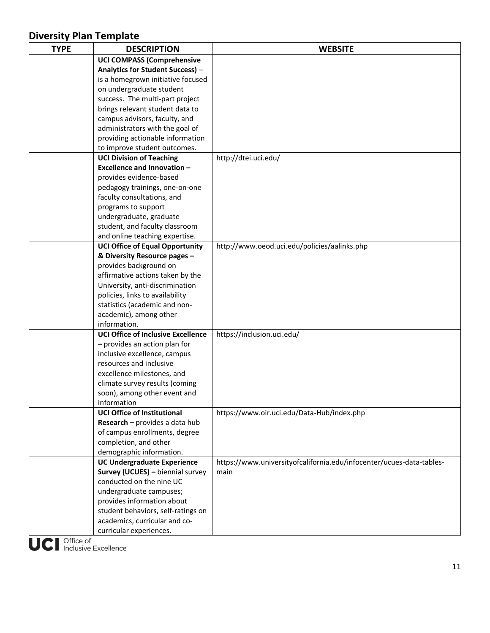| <b>TYPE</b> | <b>DESCRIPTION</b>                        | <b>WEBSITE</b>                                                       |
|-------------|-------------------------------------------|----------------------------------------------------------------------|
|             | <b>UCI COMPASS (Comprehensive</b>         |                                                                      |
|             | Analytics for Student Success) -          |                                                                      |
|             | is a homegrown initiative focused         |                                                                      |
|             | on undergraduate student                  |                                                                      |
|             | success. The multi-part project           |                                                                      |
|             | brings relevant student data to           |                                                                      |
|             | campus advisors, faculty, and             |                                                                      |
|             | administrators with the goal of           |                                                                      |
|             | providing actionable information          |                                                                      |
|             | to improve student outcomes.              |                                                                      |
|             | <b>UCI Division of Teaching</b>           | http://dtei.uci.edu/                                                 |
|             | <b>Excellence and Innovation -</b>        |                                                                      |
|             | provides evidence-based                   |                                                                      |
|             | pedagogy trainings, one-on-one            |                                                                      |
|             | faculty consultations, and                |                                                                      |
|             | programs to support                       |                                                                      |
|             | undergraduate, graduate                   |                                                                      |
|             | student, and faculty classroom            |                                                                      |
|             | and online teaching expertise.            |                                                                      |
|             | <b>UCI Office of Equal Opportunity</b>    | http://www.oeod.uci.edu/policies/aalinks.php                         |
|             | & Diversity Resource pages -              |                                                                      |
|             | provides background on                    |                                                                      |
|             | affirmative actions taken by the          |                                                                      |
|             | University, anti-discrimination           |                                                                      |
|             | policies, links to availability           |                                                                      |
|             | statistics (academic and non-             |                                                                      |
|             | academic), among other                    |                                                                      |
|             | information.                              |                                                                      |
|             | <b>UCI Office of Inclusive Excellence</b> | https://inclusion.uci.edu/                                           |
|             | - provides an action plan for             |                                                                      |
|             | inclusive excellence, campus              |                                                                      |
|             | resources and inclusive                   |                                                                      |
|             | excellence milestones, and                |                                                                      |
|             | climate survey results (coming            |                                                                      |
|             | soon), among other event and              |                                                                      |
|             | information                               |                                                                      |
|             | <b>UCI Office of Institutional</b>        | https://www.oir.uci.edu/Data-Hub/index.php                           |
|             | Research - provides a data hub            |                                                                      |
|             | of campus enrollments, degree             |                                                                      |
|             | completion, and other                     |                                                                      |
|             | demographic information.                  |                                                                      |
|             | <b>UC Undergraduate Experience</b>        | https://www.universityofcalifornia.edu/infocenter/ucues-data-tables- |
|             | Survey (UCUES) - biennial survey          | main                                                                 |
|             | conducted on the nine UC                  |                                                                      |
|             | undergraduate campuses;                   |                                                                      |
|             | provides information about                |                                                                      |
|             | student behaviors, self-ratings on        |                                                                      |
|             | academics, curricular and co-             |                                                                      |
|             | curricular experiences.                   |                                                                      |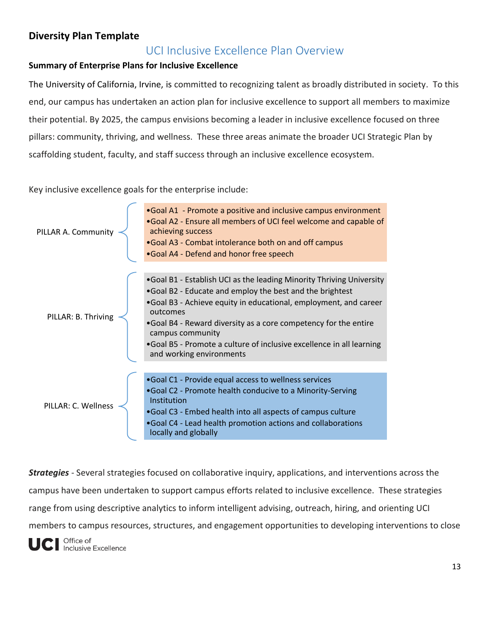#### UCI Inclusive Excellence Plan Overview

#### **Summary of Enterprise Plans for Inclusive Excellence**

The University of California, Irvine, is committed to recognizing talent as broadly distributed in society. To this end, our campus has undertaken an action plan for inclusive excellence to support all members to maximize their potential. By 2025, the campus envisions becoming a leader in inclusive excellence focused on three pillars: community, thriving, and wellness. These three areas animate the broader UCI Strategic Plan by scaffolding student, faculty, and staff success through an inclusive excellence ecosystem.

Key inclusive excellence goals for the enterprise include:



*Strategies* - Several strategies focused on collaborative inquiry, applications, and interventions across the campus have been undertaken to support campus efforts related to inclusive excellence. These strategies range from using descriptive analytics to inform intelligent advising, outreach, hiring, and orienting UCI members to campus resources, structures, and engagement opportunities to developing interventions to close

Office of Inclusive Excellence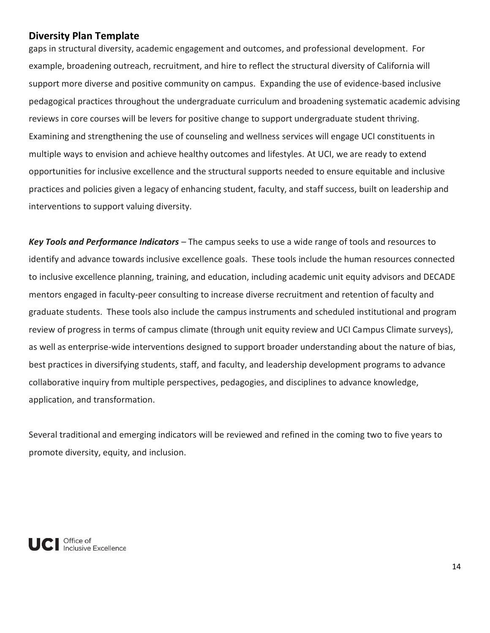gaps in structural diversity, academic engagement and outcomes, and professional development. For example, broadening outreach, recruitment, and hire to reflect the structural diversity of California will support more diverse and positive community on campus. Expanding the use of evidence-based inclusive pedagogical practices throughout the undergraduate curriculum and broadening systematic academic advising reviews in core courses will be levers for positive change to support undergraduate student thriving. Examining and strengthening the use of counseling and wellness services will engage UCI constituents in multiple ways to envision and achieve healthy outcomes and lifestyles. At UCI, we are ready to extend opportunities for inclusive excellence and the structural supports needed to ensure equitable and inclusive practices and policies given a legacy of enhancing student, faculty, and staff success, built on leadership and interventions to support valuing diversity.

*Key Tools and Performance Indicators* – The campus seeks to use a wide range of tools and resources to identify and advance towards inclusive excellence goals. These tools include the human resources connected to inclusive excellence planning, training, and education, including academic unit equity advisors and DECADE mentors engaged in faculty-peer consulting to increase diverse recruitment and retention of faculty and graduate students. These tools also include the campus instruments and scheduled institutional and program review of progress in terms of campus climate (through unit equity review and UCI Campus Climate surveys), as well as enterprise-wide interventions designed to support broader understanding about the nature of bias, best practices in diversifying students, staff, and faculty, and leadership development programs to advance collaborative inquiry from multiple perspectives, pedagogies, and disciplines to advance knowledge, application, and transformation.

Several traditional and emerging indicators will be reviewed and refined in the coming two to five years to promote diversity, equity, and inclusion.